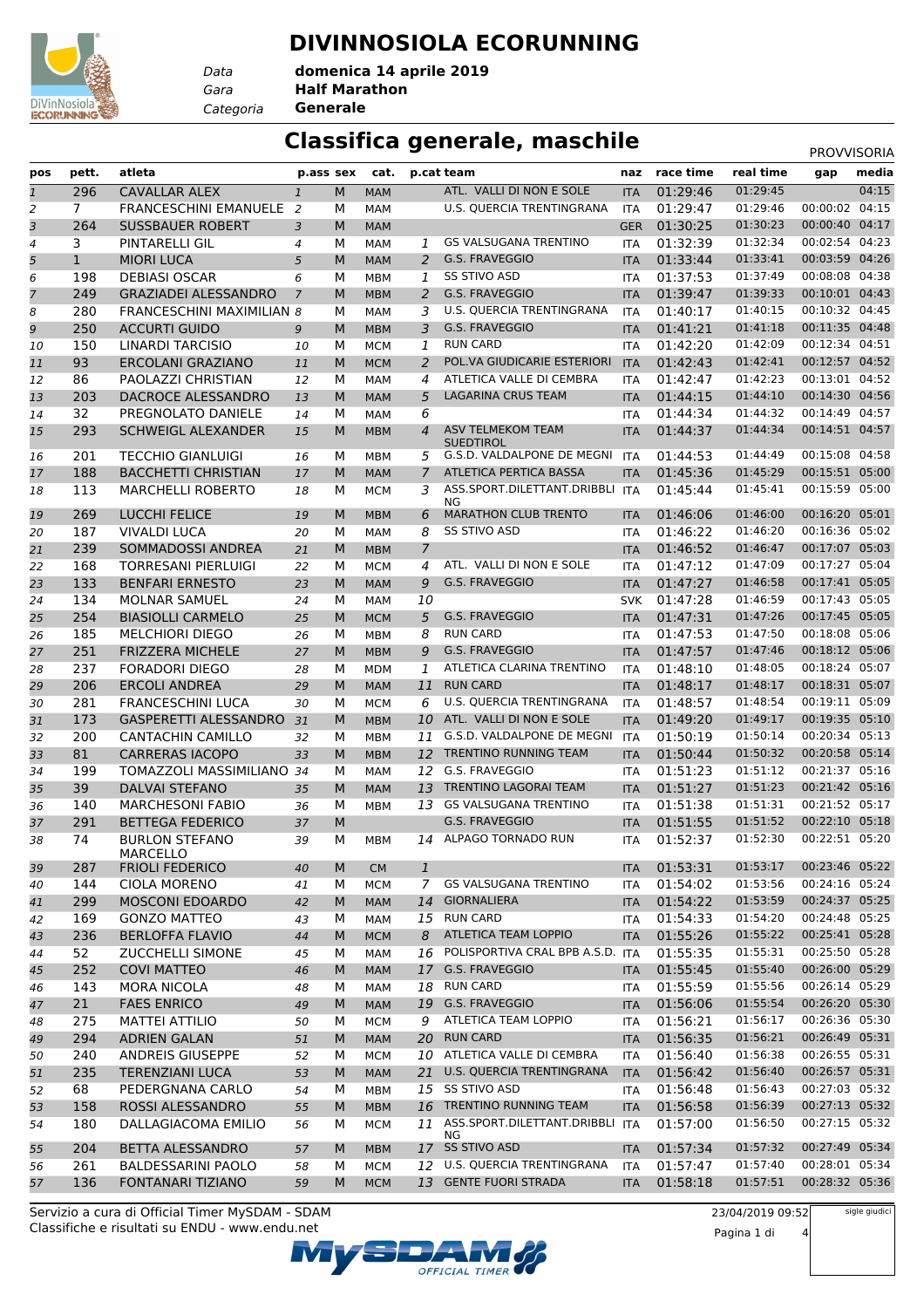#### **DIVINNOSIOLA ECORUNNING**



*Data Categoria* **Generale**

*Gara* **Half Marathon domenica 14 aprile 2019**

#### **Classifica generale, maschile** PROVVISORIA

| pos            | pett.          | atleta                            | p.ass sex      |   | cat.       |                | p.cat team                                     | naz        | race time | real time | gap            | media |
|----------------|----------------|-----------------------------------|----------------|---|------------|----------------|------------------------------------------------|------------|-----------|-----------|----------------|-------|
| $\mathbf{1}$   | 296            | <b>CAVALLAR ALEX</b>              | $\mathbf{1}$   | M | <b>MAM</b> |                | ATL. VALLI DI NON E SOLE                       | <b>ITA</b> | 01:29:46  | 01:29:45  |                | 04:15 |
| 2              | $\overline{7}$ | <b>FRANCESCHINI EMANUELE</b>      | $\overline{2}$ | М | <b>MAM</b> |                | U.S. QUERCIA TRENTINGRANA                      | <b>ITA</b> | 01:29:47  | 01:29:46  | 00:00:02 04:15 |       |
| 3              | 264            | <b>SUSSBAUER ROBERT</b>           | 3              | M | <b>MAM</b> |                |                                                | <b>GER</b> | 01:30:25  | 01:30:23  | 00:00:40       | 04:17 |
| 4              | 3              | PINTARELLI GIL                    | 4              | М | MAM        | 1              | <b>GS VALSUGANA TRENTINO</b>                   | <b>ITA</b> | 01:32:39  | 01:32:34  | 00:02:54       | 04:23 |
| 5              | $\mathbf{1}$   | <b>MIORI LUCA</b>                 | 5              | M | <b>MAM</b> | 2              | G.S. FRAVEGGIO                                 | <b>ITA</b> | 01:33:44  | 01:33:41  | 00:03:59 04:26 |       |
| 6              | 198            | <b>DEBIASI OSCAR</b>              | 6              | М | MBM        | 1              | SS STIVO ASD                                   | <b>ITA</b> | 01:37:53  | 01:37:49  | 00:08:08 04:38 |       |
| $\overline{7}$ | 249            | <b>GRAZIADEI ALESSANDRO</b>       | $\overline{7}$ | M | <b>MBM</b> | 2              | G.S. FRAVEGGIO                                 | <b>ITA</b> | 01:39:47  | 01:39:33  | 00:10:01 04:43 |       |
| 8              | 280            | <b>FRANCESCHINI MAXIMILIAN 8</b>  |                | М | <b>MAM</b> | 3              | <b>U.S. QUERCIA TRENTINGRANA</b>               | <b>ITA</b> | 01:40:17  | 01:40:15  | 00:10:32 04:45 |       |
| 9              | 250            | <b>ACCURTI GUIDO</b>              | 9              | M | <b>MBM</b> | 3              | G.S. FRAVEGGIO                                 | <b>ITA</b> | 01:41:21  | 01:41:18  | 00:11:35       | 04:48 |
| 10             | 150            | LINARDI TARCISIO                  | 10             | М | <b>MCM</b> | 1              | <b>RUN CARD</b>                                | <b>ITA</b> | 01:42:20  | 01:42:09  | 00:12:34 04:51 |       |
| 11             | 93             | <b>ERCOLANI GRAZIANO</b>          | 11             | M | <b>MCM</b> | 2              | POL.VA GIUDICARIE ESTERIORI                    | <b>ITA</b> | 01:42:43  | 01:42:41  | 00:12:57 04:52 |       |
| 12             | 86             | PAOLAZZI CHRISTIAN                | 12             | M | MAM        | 4              | ATLETICA VALLE DI CEMBRA                       | <b>ITA</b> | 01:42:47  | 01:42:23  | 00:13:01 04:52 |       |
| 13             | 203            | DACROCE ALESSANDRO                | 13             | M | <b>MAM</b> | 5              | LAGARINA CRUS TEAM                             | <b>ITA</b> | 01:44:15  | 01:44:10  | 00:14:30       | 04:56 |
| 14             | 32             | PREGNOLATO DANIELE                | 14             | M | MAM        | 6              |                                                | ITA        | 01:44:34  | 01:44:32  | 00:14:49 04:57 |       |
| 15             | 293            | <b>SCHWEIGL ALEXANDER</b>         | 15             | M | <b>MBM</b> | $\overline{4}$ | <b>ASV TELMEKOM TEAM</b>                       | <b>ITA</b> | 01:44:37  | 01:44:34  | 00:14:51 04:57 |       |
|                |                |                                   |                |   |            |                | <b>SUEDTIROL</b><br>G.S.D. VALDALPONE DE MEGNI |            |           | 01:44:49  | 00:15:08 04:58 |       |
| 16             | 201            | <b>TECCHIO GIANLUIGI</b>          | 16             | М | MBM        | 5              |                                                | <b>ITA</b> | 01:44:53  |           |                |       |
| 17             | 188            | <b>BACCHETTI CHRISTIAN</b>        | 17             | M | <b>MAM</b> | $\overline{7}$ | <b>ATLETICA PERTICA BASSA</b>                  | <b>ITA</b> | 01:45:36  | 01:45:29  | 00:15:51 05:00 |       |
| 18             | 113            | <b>MARCHELLI ROBERTO</b>          | 18             | М | <b>MCM</b> | 3              | ASS.SPORT.DILETTANT.DRIBBLI ITA<br>NG          |            | 01:45:44  | 01:45:41  | 00:15:59 05:00 |       |
| 19             | 269            | <b>LUCCHI FELICE</b>              | 19             | M | <b>MBM</b> | 6              | <b>MARATHON CLUB TRENTO</b>                    | <b>ITA</b> | 01:46:06  | 01:46:00  | 00:16:20 05:01 |       |
| 20             | 187            | <b>VIVALDI LUCA</b>               | 20             | М | MAM        | 8              | SS STIVO ASD                                   | <b>ITA</b> | 01:46:22  | 01:46:20  | 00:16:36 05:02 |       |
| 21             | 239            | SOMMADOSSI ANDREA                 | 21             | M | <b>MBM</b> | $\overline{7}$ |                                                | <b>ITA</b> | 01:46:52  | 01:46:47  | 00:17:07 05:03 |       |
| 22             | 168            | <b>TORRESANI PIERLUIGI</b>        | 22             | М | <b>MCM</b> | 4              | ATL. VALLI DI NON E SOLE                       | <b>ITA</b> | 01:47:12  | 01:47:09  | 00:17:27 05:04 |       |
| 23             | 133            | <b>BENFARI ERNESTO</b>            | 23             | M | <b>MAM</b> | 9              | G.S. FRAVEGGIO                                 | <b>ITA</b> | 01:47:27  | 01:46:58  | 00:17:41 05:05 |       |
| 24             | 134            | <b>MOLNAR SAMUEL</b>              | 24             | M | MAM        | 10             |                                                | <b>SVK</b> | 01:47:28  | 01:46:59  | 00:17:43 05:05 |       |
| 25             | 254            | <b>BIASIOLLI CARMELO</b>          | 25             | M | <b>MCM</b> | 5              | G.S. FRAVEGGIO                                 | <b>ITA</b> | 01:47:31  | 01:47:26  | 00:17:45 05:05 |       |
| 26             | 185            | <b>MELCHIORI DIEGO</b>            | 26             | м | <b>MBM</b> | 8              | <b>RUN CARD</b>                                | <b>ITA</b> | 01:47:53  | 01:47:50  | 00:18:08 05:06 |       |
| 27             | 251            | <b>FRIZZERA MICHELE</b>           | 27             | M | <b>MBM</b> | 9              | G.S. FRAVEGGIO                                 | <b>ITA</b> | 01:47:57  | 01:47:46  | 00:18:12 05:06 |       |
| 28             | 237            | <b>FORADORI DIEGO</b>             | 28             | М | <b>MDM</b> | 1              | ATLETICA CLARINA TRENTINO                      | <b>ITA</b> | 01:48:10  | 01:48:05  | 00:18:24 05:07 |       |
| 29             | 206            | <b>ERCOLI ANDREA</b>              | 29             | M | <b>MAM</b> | 11             | <b>RUN CARD</b>                                | <b>ITA</b> | 01:48:17  | 01:48:17  | 00:18:31 05:07 |       |
| 30             | 281            | <b>FRANCESCHINI LUCA</b>          | 30             | M | <b>MCM</b> | 6              | U.S. QUERCIA TRENTINGRANA                      | <b>ITA</b> | 01:48:57  | 01:48:54  | 00:19:11 05:09 |       |
| 31             | 173            | <b>GASPERETTI ALESSANDRO</b>      | 31             | M | <b>MBM</b> | 10             | ATL. VALLI DI NON E SOLE                       | <b>ITA</b> | 01:49:20  | 01:49:17  | 00:19:35       | 05:10 |
| 32             | 200            | <b>CANTACHIN CAMILLO</b>          | 32             | М | <b>MBM</b> | 11             | G.S.D. VALDALPONE DE MEGNI                     | <b>ITA</b> | 01:50:19  | 01:50:14  | 00:20:34 05:13 |       |
|                | 81             | <b>CARRERAS IACOPO</b>            | 33             | M | <b>MBM</b> |                | 12 TRENTINO RUNNING TEAM                       | <b>ITA</b> | 01:50:44  | 01:50:32  | 00:20:58 05:14 |       |
| 33             |                |                                   |                |   |            |                | 12 G.S. FRAVEGGIO                              |            |           | 01:51:12  | 00:21:37 05:16 |       |
| 34             | 199            | TOMAZZOLI MASSIMILIANO 34         |                | М | MAM        |                |                                                | <b>ITA</b> | 01:51:23  |           |                |       |
| 35             | 39             | <b>DALVAI STEFANO</b>             | 35             | M | <b>MAM</b> | 13             | TRENTINO LAGORAI TEAM                          | <b>ITA</b> | 01:51:27  | 01:51:23  | 00:21:42 05:16 |       |
| 36             | 140            | <b>MARCHESONI FABIO</b>           | 36             | M | <b>MBM</b> | 13             | <b>GS VALSUGANA TRENTINO</b>                   | ITA        | 01:51:38  | 01:51:31  | 00:21:52 05:17 |       |
| 37             | 291            | <b>BETTEGA FEDERICO</b>           | 37             | M |            |                | <b>G.S. FRAVEGGIO</b>                          | <b>ITA</b> | 01:51:55  | 01:51:52  | 00:22:10 05:18 |       |
| 38             | 74             | <b>BURLON STEFANO</b><br>MARCELLO | 39             | М | <b>MBM</b> | 14             | ALPAGO TORNADO RUN                             | <b>ITA</b> | 01:52:37  | 01:52:30  | 00:22:51 05:20 |       |
| 39             | 287            | <b>FRIOLI FEDERICO</b>            | 40             | M | <b>CM</b>  | $\mathbf{1}$   |                                                | <b>ITA</b> | 01:53:31  | 01:53:17  | 00:23:46 05:22 |       |
| 40             | 144            | CIOLA MORENO                      | 41             | М | <b>MCM</b> | 7              | <b>GS VALSUGANA TRENTINO</b>                   | <b>ITA</b> | 01:54:02  | 01:53:56  | 00:24:16 05:24 |       |
| 41             | 299            | <b>MOSCONI EDOARDO</b>            | 42             | M | <b>MAM</b> |                | 14 GIORNALIERA                                 | <b>ITA</b> | 01:54:22  | 01:53:59  | 00:24:37 05:25 |       |
| 42             | 169            | <b>GONZO MATTEO</b>               | 43             | м | MAM        |                | 15 RUN CARD                                    | <b>ITA</b> | 01:54:33  | 01:54:20  | 00:24:48 05:25 |       |
| 43             | 236            | <b>BERLOFFA FLAVIO</b>            | 44             | M | <b>MCM</b> | 8              | ATLETICA TEAM LOPPIO                           | <b>ITA</b> | 01:55:26  | 01:55:22  | 00:25:41 05:28 |       |
| 44             | 52             | <b>ZUCCHELLI SIMONE</b>           | 45             | М | MAM        |                | 16 POLISPORTIVA CRAL BPB A.S.D. ITA            |            | 01:55:35  | 01:55:31  | 00:25:50 05:28 |       |
| 45             | 252            | <b>COVI MATTEO</b>                | 46             | M | <b>MAM</b> |                | 17 G.S. FRAVEGGIO                              | <b>ITA</b> | 01:55:45  | 01:55:40  | 00:26:00 05:29 |       |
| 46             | 143            | <b>MORA NICOLA</b>                | 48             | М | MAM        |                | 18 RUN CARD                                    | ITA        | 01:55:59  | 01:55:56  | 00:26:14 05:29 |       |
|                | 21             | <b>FAES ENRICO</b>                | 49             | M | <b>MAM</b> |                | 19 G.S. FRAVEGGIO                              | <b>ITA</b> | 01:56:06  | 01:55:54  | 00:26:20 05:30 |       |
| 47             |                |                                   |                |   |            | 9              | ATLETICA TEAM LOPPIO                           |            | 01:56:21  | 01:56:17  | 00:26:36 05:30 |       |
| 48             | 275            | <b>MATTEI ATTILIO</b>             | 50             | м | <b>MCM</b> |                |                                                | <b>ITA</b> |           |           | 00:26:49 05:31 |       |
| 49             | 294            | <b>ADRIEN GALAN</b>               | 51             | M | <b>MAM</b> | 20             | <b>RUN CARD</b>                                | <b>ITA</b> | 01:56:35  | 01:56:21  |                |       |
| 50             | 240            | ANDREIS GIUSEPPE                  | 52             | М | <b>MCM</b> |                | 10 ATLETICA VALLE DI CEMBRA                    | <b>ITA</b> | 01:56:40  | 01:56:38  | 00:26:55 05:31 |       |
| 51             | 235            | <b>TERENZIANI LUCA</b>            | 53             | M | <b>MAM</b> | 21             | U.S. QUERCIA TRENTINGRANA                      | <b>ITA</b> | 01:56:42  | 01:56:40  | 00:26:57 05:31 |       |
| 52             | 68             | PEDERGNANA CARLO                  | 54             | М | <b>MBM</b> |                | 15 SS STIVO ASD                                | ITA        | 01:56:48  | 01:56:43  | 00:27:03 05:32 |       |
| 53             | 158            | ROSSI ALESSANDRO                  | 55             | M | <b>MBM</b> |                | 16 TRENTINO RUNNING TEAM                       | <b>ITA</b> | 01:56:58  | 01:56:39  | 00:27:13 05:32 |       |
| 54             | 180            | DALLAGIACOMA EMILIO               | 56             | м | <b>MCM</b> | 11             | ASS.SPORT.DILETTANT.DRIBBLI ITA<br>ΝG          |            | 01:57:00  | 01:56:50  | 00:27:15 05:32 |       |
| 55             | 204            | <b>BETTA ALESSANDRO</b>           | 57             | M | <b>MBM</b> |                | 17 SS STIVO ASD                                | <b>ITA</b> | 01:57:34  | 01:57:32  | 00:27:49 05:34 |       |
| 56             | 261            | <b>BALDESSARINI PAOLO</b>         | 58             | м | <b>MCM</b> |                | 12 U.S. QUERCIA TRENTINGRANA                   | ITA        | 01:57:47  | 01:57:40  | 00:28:01 05:34 |       |
| 57             | 136            | FONTANARI TIZIANO                 | 59             | M | <b>MCM</b> |                | 13 GENTE FUORI STRADA                          | <b>ITA</b> | 01:58:18  | 01:57:51  | 00:28:32 05:36 |       |
|                |                |                                   |                |   |            |                |                                                |            |           |           |                |       |

Classifiche e risultati su ENDU - www.endu.net Servizio a cura di Official Timer MySDAM - SDAM



23/04/2019 09:52 Pagina 1 di 4

sigle giudici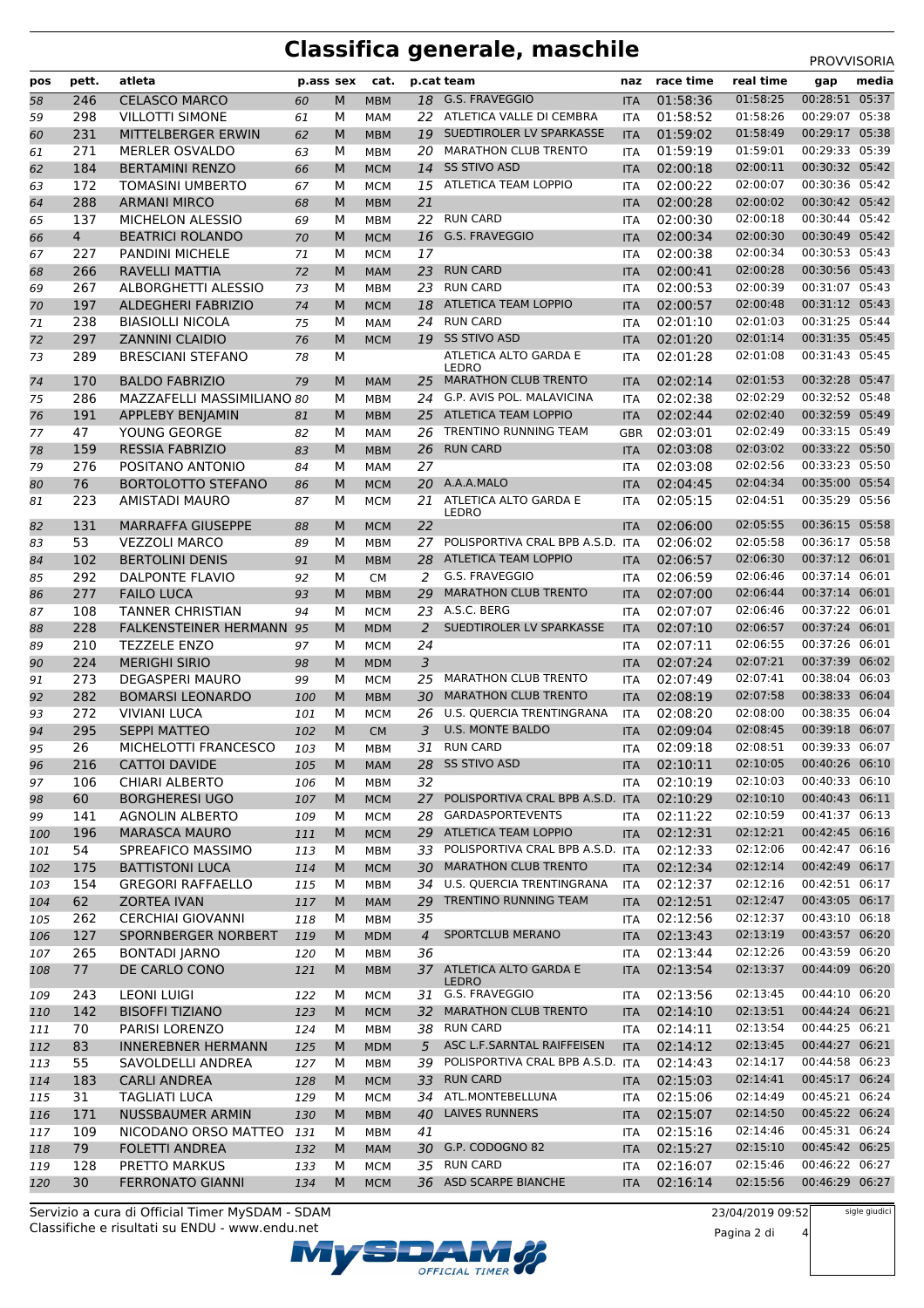# **Classifica generale, maschile** PROVVISORIA

|     | pett.          | atleta                     |     | p.ass sex | cat.       |                | p.cat team                               | naz        | race time | real time            |                                  | media |
|-----|----------------|----------------------------|-----|-----------|------------|----------------|------------------------------------------|------------|-----------|----------------------|----------------------------------|-------|
| pos |                |                            |     |           |            |                | G.S. FRAVEGGIO                           |            |           | 01:58:25             | gap<br>00:28:51 05:37            |       |
| 58  | 246            | <b>CELASCO MARCO</b>       | 60  | M         | <b>MBM</b> | 18             |                                          | <b>ITA</b> | 01:58:36  |                      |                                  |       |
| 59  | 298            | <b>VILLOTTI SIMONE</b>     | 61  | М         | MAM        |                | 22 ATLETICA VALLE DI CEMBRA              | ITA        | 01:58:52  | 01:58:26             | 00:29:07 05:38                   |       |
| 60  | 231            | MITTELBERGER ERWIN         | 62  | M         | <b>MBM</b> | 19             | SUEDTIROLER LV SPARKASSE                 | <b>ITA</b> | 01:59:02  | 01:58:49             | 00:29:17 05:38<br>00:29:33 05:39 |       |
| 61  | 271            | <b>MERLER OSVALDO</b>      | 63  | м         | <b>MBM</b> | 20             | <b>MARATHON CLUB TRENTO</b>              | <b>ITA</b> | 01:59:19  | 01:59:01             | 00:30:32 05:42                   |       |
| 62  | 184            | <b>BERTAMINI RENZO</b>     | 66  | M         | <b>MCM</b> | 14             | <b>SS STIVO ASD</b>                      | <b>ITA</b> | 02:00:18  | 02:00:11<br>02:00:07 | 00:30:36 05:42                   |       |
| 63  | 172            | <b>TOMASINI UMBERTO</b>    | 67  | м         | <b>MCM</b> | 15             | ATLETICA TEAM LOPPIO                     | ITA        | 02:00:22  |                      | 00:30:42 05:42                   |       |
| 64  | 288            | <b>ARMANI MIRCO</b>        | 68  | M         | <b>MBM</b> | 21             |                                          | <b>ITA</b> | 02:00:28  | 02:00:02             |                                  |       |
| 65  | 137            | MICHELON ALESSIO           | 69  | М         | <b>MBM</b> | 22             | <b>RUN CARD</b>                          | ITA        | 02:00:30  | 02:00:18             | 00:30:44 05:42                   |       |
| 66  | $\overline{4}$ | <b>BEATRICI ROLANDO</b>    | 70  | M         | <b>MCM</b> | 16             | G.S. FRAVEGGIO                           | <b>ITA</b> | 02:00:34  | 02:00:30             | 00:30:49 05:42                   |       |
| 67  | 227            | <b>PANDINI MICHELE</b>     | 71  | М         | <b>MCM</b> | 17             |                                          | <b>ITA</b> | 02:00:38  | 02:00:34             | 00:30:53 05:43                   |       |
| 68  | 266            | RAVELLI MATTIA             | 72  | M         | <b>MAM</b> | 23             | <b>RUN CARD</b>                          | <b>ITA</b> | 02:00:41  | 02:00:28             | 00:30:56 05:43                   |       |
| 69  | 267            | ALBORGHETTI ALESSIO        | 73  | M         | <b>MBM</b> | 23             | <b>RUN CARD</b>                          | ITA        | 02:00:53  | 02:00:39             | 00:31:07 05:43                   |       |
| 70  | 197            | <b>ALDEGHERI FABRIZIO</b>  | 74  | M         | <b>MCM</b> | 18             | <b>ATLETICA TEAM LOPPIO</b>              | <b>ITA</b> | 02:00:57  | 02:00:48             | 00:31:12 05:43                   |       |
| 71  | 238            | <b>BIASIOLLI NICOLA</b>    | 75  | М         | MAM        | 24             | <b>RUN CARD</b>                          | <b>ITA</b> | 02:01:10  | 02:01:03             | 00:31:25 05:44                   |       |
| 72  | 297            | <b>ZANNINI CLAIDIO</b>     | 76  | M         | <b>MCM</b> | 19             | <b>SS STIVO ASD</b>                      | <b>ITA</b> | 02:01:20  | 02:01:14             | 00:31:35 05:45                   |       |
| 73  | 289            | <b>BRESCIANI STEFANO</b>   | 78  | М         |            |                | ATLETICA ALTO GARDA E<br>LEDRO           | ITA        | 02:01:28  | 02:01:08             | 00:31:43 05:45                   |       |
| 74  | 170            | <b>BALDO FABRIZIO</b>      | 79  | M         | <b>MAM</b> |                | 25 MARATHON CLUB TRENTO                  | <b>ITA</b> | 02:02:14  | 02:01:53             | 00:32:28 05:47                   |       |
| 75  | 286            | MAZZAFELLI MASSIMILIANO 80 |     | М         | <b>MBM</b> | 24             | G.P. AVIS POL. MALAVICINA                | <b>ITA</b> | 02:02:38  | 02:02:29             | 00:32:52 05:48                   |       |
| 76  | 191            | APPLEBY BENJAMIN           | 81  | M         | <b>MBM</b> | 25             | <b>ATLETICA TEAM LOPPIO</b>              | <b>ITA</b> | 02:02:44  | 02:02:40             | 00:32:59 05:49                   |       |
| 77  | 47             | YOUNG GEORGE               | 82  | М         | MAM        | 26             | TRENTINO RUNNING TEAM                    | <b>GBR</b> | 02:03:01  | 02:02:49             | 00:33:15 05:49                   |       |
| 78  | 159            | <b>RESSIA FABRIZIO</b>     | 83  | M         | <b>MBM</b> | 26             | <b>RUN CARD</b>                          | <b>ITA</b> | 02:03:08  | 02:03:02             | 00:33:22 05:50                   |       |
| 79  | 276            | POSITANO ANTONIO           | 84  | М         | MAM        | 27             |                                          | ITA        | 02:03:08  | 02:02:56             | 00:33:23 05:50                   |       |
| 80  | 76             | <b>BORTOLOTTO STEFANO</b>  | 86  | ${\sf M}$ | <b>MCM</b> |                | 20 A.A.A.MALO                            | <b>ITA</b> | 02:04:45  | 02:04:34             | 00:35:00 05:54                   |       |
| 81  | 223            | AMISTADI MAURO             | 87  | м         | <b>MCM</b> | 21             | ATLETICA ALTO GARDA E                    | <b>ITA</b> | 02:05:15  | 02:04:51             | 00:35:29 05:56                   |       |
|     |                |                            |     |           |            |                | LEDRO                                    |            |           |                      |                                  |       |
| 82  | 131            | <b>MARRAFFA GIUSEPPE</b>   | 88  | M         | <b>MCM</b> | 22             |                                          | <b>ITA</b> | 02:06:00  | 02:05:55             | 00:36:15 05:58                   |       |
| 83  | 53             | <b>VEZZOLI MARCO</b>       | 89  | м         | <b>MBM</b> | 27             | POLISPORTIVA CRAL BPB A.S.D. ITA         |            | 02:06:02  | 02:05:58             | 00:36:17 05:58                   |       |
| 84  | 102            | <b>BERTOLINI DENIS</b>     | 91  | M         | <b>MBM</b> | 28             | <b>ATLETICA TEAM LOPPIO</b>              | <b>ITA</b> | 02:06:57  | 02:06:30             | 00:37:12 06:01                   |       |
| 85  | 292            | <b>DALPONTE FLAVIO</b>     | 92  | М         | <b>CM</b>  | 2              | G.S. FRAVEGGIO                           | ITA        | 02:06:59  | 02:06:46             | 00:37:14 06:01                   |       |
| 86  | 277            | <b>FAILO LUCA</b>          | 93  | M         | <b>MBM</b> | 29             | <b>MARATHON CLUB TRENTO</b>              | <b>ITA</b> | 02:07:00  | 02:06:44             | 00:37:14 06:01                   |       |
| 87  | 108            | <b>TANNER CHRISTIAN</b>    | 94  | М         | <b>MCM</b> | 23             | A.S.C. BERG                              | ITA        | 02:07:07  | 02:06:46             | 00:37:22 06:01                   |       |
| 88  | 228            | FALKENSTEINER HERMANN 95   |     | ${\sf M}$ | <b>MDM</b> | 2              | SUEDTIROLER LV SPARKASSE                 | <b>ITA</b> | 02:07:10  | 02:06:57             | 00:37:24 06:01                   |       |
| 89  | 210            | <b>TEZZELE ENZO</b>        | 97  | М         | <b>MCM</b> | 24             |                                          | <b>ITA</b> | 02:07:11  | 02:06:55             | 00:37:26 06:01                   |       |
| 90  | 224            | <b>MERIGHI SIRIO</b>       | 98  | M         | <b>MDM</b> | 3              |                                          | <b>ITA</b> | 02:07:24  | 02:07:21             | 00:37:39 06:02                   |       |
| 91  | 273            | <b>DEGASPERI MAURO</b>     | 99  | м         | <b>MCM</b> | 25             | <b>MARATHON CLUB TRENTO</b>              | ITA        | 02:07:49  | 02:07:41             | 00:38:04 06:03                   |       |
| 92  | 282            | <b>BOMARSI LEONARDO</b>    | 100 | M         | <b>MBM</b> | 30             | <b>MARATHON CLUB TRENTO</b>              | <b>ITA</b> | 02:08:19  | 02:07:58             | 00:38:33 06:04                   |       |
| 93  | 272            | <b>VIVIANI LUCA</b>        | 101 | м         | <b>MCM</b> | 26             | U.S. QUERCIA TRENTINGRANA                | ITA        | 02:08:20  | 02:08:00             | 00:38:35 06:04                   |       |
| 94  | 295            | <b>SEPPI MATTEO</b>        | 102 | M         | <b>CM</b>  | 3              | <b>U.S. MONTE BALDO</b>                  | <b>ITA</b> | 02:09:04  | 02:08:45             | 00:39:18 06:07                   |       |
| 95  | 26             | MICHELOTTI FRANCESCO       | 103 | М         | <b>MBM</b> |                | 31 RUN CARD                              | <b>ITA</b> | 02:09:18  | 02:08:51             | 00:39:33 06:07                   |       |
| 96  | 216            | <b>CATTOI DAVIDE</b>       | 105 | M         | <b>MAM</b> |                | 28 SS STIVO ASD                          | <b>ITA</b> | 02:10:11  | 02:10:05             | 00:40:26 06:10                   |       |
| 97  | 106            | <b>CHIARI ALBERTO</b>      | 106 | м         | MBM        | 32             |                                          | <b>ITA</b> | 02:10:19  | 02:10:03             | 00:40:33 06:10                   |       |
| 98  | 60             | <b>BORGHERESI UGO</b>      | 107 | M         | <b>MCM</b> | 27             | POLISPORTIVA CRAL BPB A.S.D. ITA         |            | 02:10:29  | 02:10:10             | 00:40:43 06:11                   |       |
| 99  | 141            | <b>AGNOLIN ALBERTO</b>     | 109 | м         | <b>MCM</b> | 28             | <b>GARDASPORTEVENTS</b>                  | ITA        | 02:11:22  | 02:10:59             | 00:41:37 06:13                   |       |
| 100 | 196            | <b>MARASCA MAURO</b>       | 111 | M         | <b>MCM</b> | 29             | ATLETICA TEAM LOPPIO                     | <b>ITA</b> | 02:12:31  | 02:12:21             | 00:42:45 06:16                   |       |
| 101 | 54             | SPREAFICO MASSIMO          | 113 | м         | MBM        | 33             | POLISPORTIVA CRAL BPB A.S.D. ITA         |            | 02:12:33  | 02:12:06             | 00:42:47 06:16                   |       |
| 102 | 175            | <b>BATTISTONI LUCA</b>     | 114 | M         | <b>MCM</b> | 30             | <b>MARATHON CLUB TRENTO</b>              | <b>ITA</b> | 02:12:34  | 02:12:14             | 00:42:49 06:17                   |       |
| 103 | 154            | <b>GREGORI RAFFAELLO</b>   | 115 | м         | <b>MBM</b> |                | 34 U.S. QUERCIA TRENTINGRANA             | ITA        | 02:12:37  | 02:12:16             | 00:42:51 06:17                   |       |
| 104 | 62             | <b>ZORTEA IVAN</b>         | 117 | M         | <b>MAM</b> | 29             | TRENTINO RUNNING TEAM                    | <b>ITA</b> | 02:12:51  | 02:12:47             | 00:43:05 06:17                   |       |
| 105 | 262            | <b>CERCHIAI GIOVANNI</b>   | 118 | м         | MBM        | 35             |                                          | ITA        | 02:12:56  | 02:12:37             | 00:43:10 06:18                   |       |
| 106 | 127            | SPORNBERGER NORBERT        | 119 | M         | <b>MDM</b> | $\overline{4}$ | SPORTCLUB MERANO                         | <b>ITA</b> | 02:13:43  | 02:13:19             | 00:43:57 06:20                   |       |
| 107 | 265            | <b>BONTADI JARNO</b>       | 120 | м         | MBM        | 36             |                                          | ITA        | 02:13:44  | 02:12:26             | 00:43:59 06:20                   |       |
| 108 | 77             | DE CARLO CONO              | 121 | M         | <b>MBM</b> |                | 37 ATLETICA ALTO GARDA E<br><b>LEDRO</b> | <b>ITA</b> | 02:13:54  | 02:13:37             | 00:44:09 06:20                   |       |
| 109 | 243            | <b>LEONI LUIGI</b>         | 122 | м         | <b>MCM</b> |                | 31 G.S. FRAVEGGIO                        | <b>ITA</b> | 02:13:56  | 02:13:45             | 00:44:10 06:20                   |       |
| 110 | 142            | <b>BISOFFI TIZIANO</b>     | 123 | M         | <b>MCM</b> | 32             | MARATHON CLUB TRENTO                     | <b>ITA</b> | 02:14:10  | 02:13:51             | 00:44:24 06:21                   |       |
| 111 | 70             | PARISI LORENZO             | 124 | М         | MBM        |                | 38 RUN CARD                              | ITA        | 02:14:11  | 02:13:54             | 00:44:25 06:21                   |       |
| 112 | 83             | <b>INNEREBNER HERMANN</b>  | 125 | M         | <b>MDM</b> | 5              | ASC L.F.SARNTAL RAIFFEISEN               | <b>ITA</b> | 02:14:12  | 02:13:45             | 00:44:27 06:21                   |       |
| 113 | 55             | SAVOLDELLI ANDREA          | 127 | м         | MBM        | 39             | POLISPORTIVA CRAL BPB A.S.D. ITA         |            | 02:14:43  | 02:14:17             | 00:44:58 06:23                   |       |
| 114 | 183            | <b>CARLI ANDREA</b>        | 128 | M         | <b>MCM</b> |                | 33 RUN CARD                              | <b>ITA</b> | 02:15:03  | 02:14:41             | 00:45:17 06:24                   |       |
| 115 | 31             | <b>TAGLIATI LUCA</b>       | 129 | м         | <b>MCM</b> | 34             | ATL.MONTEBELLUNA                         | <b>ITA</b> | 02:15:06  | 02:14:49             | 00:45:21 06:24                   |       |
| 116 | 171            | <b>NUSSBAUMER ARMIN</b>    | 130 | M         | <b>MBM</b> | 40             | <b>LAIVES RUNNERS</b>                    | <b>ITA</b> | 02:15:07  | 02:14:50             | 00:45:22 06:24                   |       |
| 117 | 109            | NICODANO ORSO MATTEO       | 131 | м         | MBM        | 41             |                                          | ITA        | 02:15:16  | 02:14:46             | 00:45:31 06:24                   |       |
| 118 | 79             | <b>FOLETTI ANDREA</b>      | 132 | M         | <b>MAM</b> |                | 30 G.P. CODOGNO 82                       | <b>ITA</b> | 02:15:27  | 02:15:10             | 00:45:42 06:25                   |       |
| 119 | 128            | PRETTO MARKUS              | 133 | м         | <b>MCM</b> |                | 35 RUN CARD                              | ITA        | 02:16:07  | 02:15:46             | 00:46:22 06:27                   |       |
| 120 | 30             | <b>FERRONATO GIANNI</b>    | 134 | M         | <b>MCM</b> |                | 36 ASD SCARPE BIANCHE                    | <b>ITA</b> | 02:16:14  | 02:15:56             | 00:46:29 06:27                   |       |

Classifiche e risultati su ENDU - www.endu.net Servizio a cura di Official Timer MySDAM - SDAM



23/04/2019 09:52 Pagina 2 di 4

sigle giudici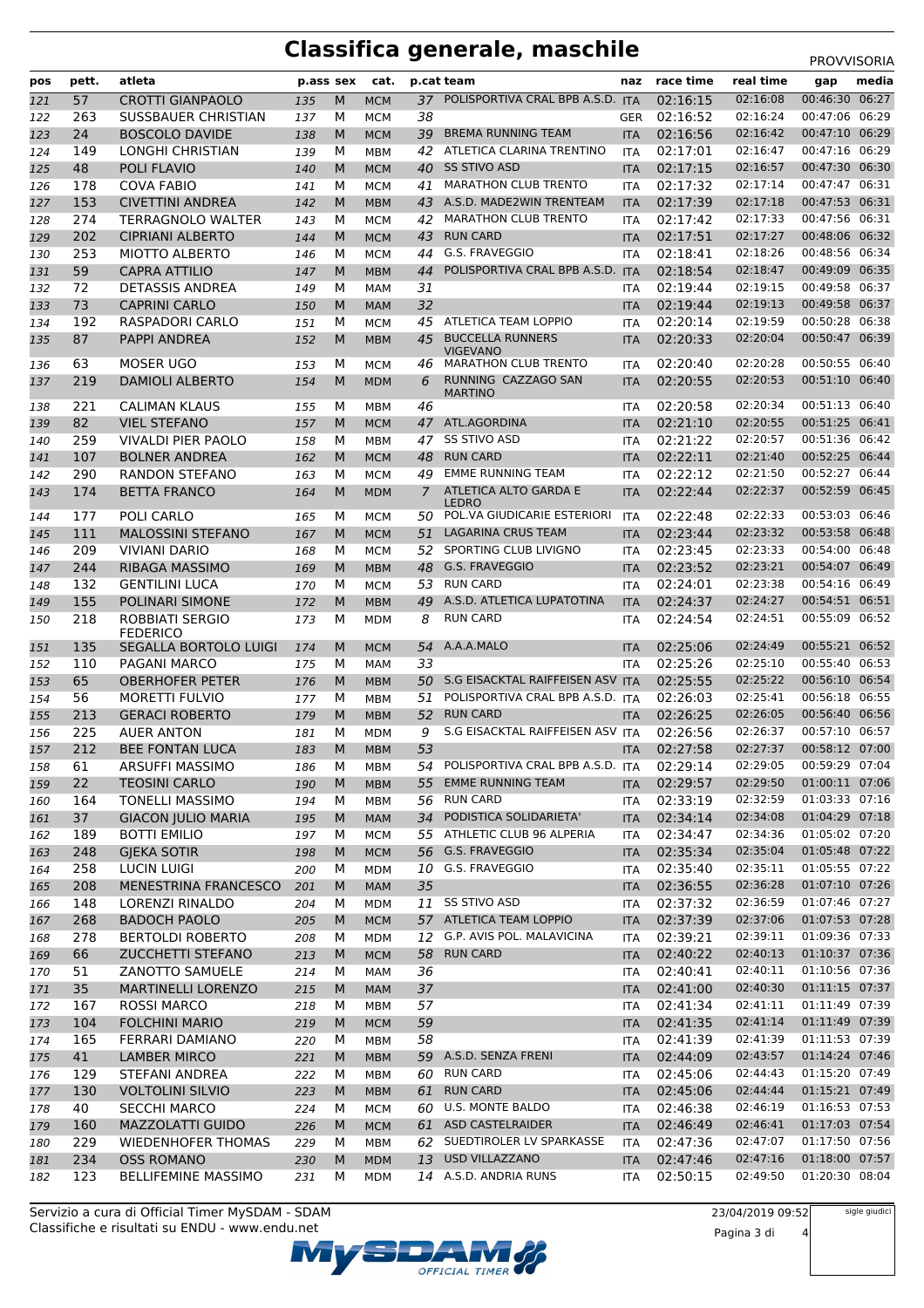# **Classifica generale, maschile** PROVVISORIA

| pos        | pett. | atleta                          | p.ass sex  |        | cat.                     |    | p.cat team                                  | naz                      | race time | real time | gap            | media |
|------------|-------|---------------------------------|------------|--------|--------------------------|----|---------------------------------------------|--------------------------|-----------|-----------|----------------|-------|
|            | 57    | <b>CROTTI GIANPAOLO</b>         |            | M      | <b>MCM</b>               | 37 | POLISPORTIVA CRAL BPB A.S.D. ITA            |                          | 02:16:15  | 02:16:08  | 00:46:30 06:27 |       |
| 121<br>122 | 263   | SUSSBAUER CHRISTIAN             | 135<br>137 | м      | <b>MCM</b>               | 38 |                                             | <b>GER</b>               | 02:16:52  | 02:16:24  | 00:47:06 06:29 |       |
|            | 24    | <b>BOSCOLO DAVIDE</b>           |            |        |                          | 39 | <b>BREMA RUNNING TEAM</b>                   |                          | 02:16:56  | 02:16:42  | 00:47:10 06:29 |       |
| 123        | 149   |                                 | 138        | M<br>м | <b>MCM</b>               | 42 | ATLETICA CLARINA TRENTINO                   | <b>ITA</b>               | 02:17:01  | 02:16:47  | 00:47:16 06:29 |       |
| 124<br>125 | 48    | LONGHI CHRISTIAN<br>POLI FLAVIO | 139<br>140 | M      | <b>MBM</b><br><b>MCM</b> |    | 40 SS STIVO ASD                             | <b>ITA</b><br><b>ITA</b> | 02:17:15  | 02:16:57  | 00:47:30 06:30 |       |
|            | 178   | <b>COVA FABIO</b>               |            |        |                          | 41 | <b>MARATHON CLUB TRENTO</b>                 |                          | 02:17:32  | 02:17:14  | 00:47:47 06:31 |       |
| 126        |       |                                 | 141        | М      | <b>MCM</b>               |    | A.S.D. MADE2WIN TRENTEAM                    | <b>ITA</b>               |           | 02:17:18  | 00:47:53 06:31 |       |
| 127        | 153   | <b>CIVETTINI ANDREA</b>         | 142        | M      | <b>MBM</b>               | 43 |                                             | <b>ITA</b>               | 02:17:39  |           |                |       |
| 128        | 274   | <b>TERRAGNOLO WALTER</b>        | 143        | М      | <b>MCM</b>               | 42 | <b>MARATHON CLUB TRENTO</b>                 | <b>ITA</b>               | 02:17:42  | 02:17:33  | 00:47:56 06:31 |       |
| 129        | 202   | <b>CIPRIANI ALBERTO</b>         | 144        | M      | <b>MCM</b>               | 43 | <b>RUN CARD</b>                             | <b>ITA</b>               | 02:17:51  | 02:17:27  | 00:48:06 06:32 |       |
| 130        | 253   | <b>MIOTTO ALBERTO</b>           | 146        | М      | <b>MCM</b>               | 44 | G.S. FRAVEGGIO                              | <b>ITA</b>               | 02:18:41  | 02:18:26  | 00:48:56 06:34 |       |
| 131        | 59    | <b>CAPRA ATTILIO</b>            | 147        | M      | <b>MBM</b>               | 44 | POLISPORTIVA CRAL BPB A.S.D. ITA            |                          | 02:18:54  | 02:18:47  | 00:49:09 06:35 |       |
| 132        | 72    | <b>DETASSIS ANDREA</b>          | 149        | М      | <b>MAM</b>               | 31 |                                             | <b>ITA</b>               | 02:19:44  | 02:19:15  | 00:49:58 06:37 |       |
| 133        | 73    | <b>CAPRINI CARLO</b>            | 150        | M      | <b>MAM</b>               | 32 |                                             | <b>ITA</b>               | 02:19:44  | 02:19:13  | 00:49:58 06:37 |       |
| 134        | 192   | RASPADORI CARLO                 | 151        | м      | <b>MCM</b>               | 45 | ATLETICA TEAM LOPPIO                        | <b>ITA</b>               | 02:20:14  | 02:19:59  | 00:50:28 06:38 |       |
| 135        | 87    | PAPPI ANDREA                    | 152        | M      | <b>MBM</b>               | 45 | <b>BUCCELLA RUNNERS</b><br><b>VIGEVANO</b>  | <b>ITA</b>               | 02:20:33  | 02:20:04  | 00:50:47 06:39 |       |
| 136        | 63    | <b>MOSER UGO</b>                | 153        | М      | <b>MCM</b>               | 46 | <b>MARATHON CLUB TRENTO</b>                 | <b>ITA</b>               | 02:20:40  | 02:20:28  | 00:50:55 06:40 |       |
| 137        | 219   | <b>DAMIOLI ALBERTO</b>          | 154        | M      | <b>MDM</b>               | 6  | RUNNING CAZZAGO SAN<br><b>MARTINO</b>       | <b>ITA</b>               | 02:20:55  | 02:20:53  | 00:51:10 06:40 |       |
| 138        | 221   | <b>CALIMAN KLAUS</b>            | 155        | м      | <b>MBM</b>               | 46 |                                             | <b>ITA</b>               | 02:20:58  | 02:20:34  | 00:51:13 06:40 |       |
| 139        | 82    | <b>VIEL STEFANO</b>             | 157        | M      | <b>MCM</b>               | 47 | ATL.AGORDINA                                | <b>ITA</b>               | 02:21:10  | 02:20:55  | 00:51:25 06:41 |       |
| 140        | 259   | <b>VIVALDI PIER PAOLO</b>       | 158        | м      | MBM                      | 47 | <b>SS STIVO ASD</b>                         | <b>ITA</b>               | 02:21:22  | 02:20:57  | 00:51:36 06:42 |       |
| 141        | 107   | <b>BOLNER ANDREA</b>            | 162        | M      | <b>MCM</b>               | 48 | <b>RUN CARD</b>                             | <b>ITA</b>               | 02:22:11  | 02:21:40  | 00:52:25 06:44 |       |
| 142        | 290   | RANDON STEFANO                  | 163        | М      | <b>MCM</b>               | 49 | <b>EMME RUNNING TEAM</b>                    | <b>ITA</b>               | 02:22:12  | 02:21:50  | 00:52:27 06:44 |       |
| 143        | 174   | <b>BETTA FRANCO</b>             | 164        | M      | <b>MDM</b>               | 7  | ATLETICA ALTO GARDA E                       | <b>ITA</b>               | 02:22:44  | 02:22:37  | 00:52:59 06:45 |       |
| 144        | 177   | POLI CARLO                      | 165        | М      | <b>MCM</b>               | 50 | <b>LEDRO</b><br>POL.VA GIUDICARIE ESTERIORI | <b>ITA</b>               | 02:22:48  | 02:22:33  | 00:53:03 06:46 |       |
| 145        | 111   | <b>MALOSSINI STEFANO</b>        | 167        | M      | <b>MCM</b>               | 51 | LAGARINA CRUS TEAM                          | <b>ITA</b>               | 02:23:44  | 02:23:32  | 00:53:58 06:48 |       |
| 146        | 209   | <b>VIVIANI DARIO</b>            | 168        | м      | <b>MCM</b>               | 52 | SPORTING CLUB LIVIGNO                       | <b>ITA</b>               | 02:23:45  | 02:23:33  | 00:54:00 06:48 |       |
| 147        | 244   | <b>RIBAGA MASSIMO</b>           | 169        | M      | <b>MBM</b>               | 48 | <b>G.S. FRAVEGGIO</b>                       | <b>ITA</b>               | 02:23:52  | 02:23:21  | 00:54:07       | 06:49 |
| 148        | 132   | <b>GENTILINI LUCA</b>           | 170        | м      | <b>MCM</b>               | 53 | <b>RUN CARD</b>                             | <b>ITA</b>               | 02:24:01  | 02:23:38  | 00:54:16 06:49 |       |
| 149        | 155   | POLINARI SIMONE                 | 172        | M      | <b>MBM</b>               | 49 | A.S.D. ATLETICA LUPATOTINA                  | <b>ITA</b>               | 02:24:37  | 02:24:27  | 00:54:51 06:51 |       |
| 150        | 218   | <b>ROBBIATI SERGIO</b>          | 173        | М      | MDM                      | 8  | <b>RUN CARD</b>                             | <b>ITA</b>               | 02:24:54  | 02:24:51  | 00:55:09 06:52 |       |
|            |       | <b>FEDERICO</b>                 |            |        |                          |    |                                             |                          |           |           |                |       |
| 151        | 135   | <b>SEGALLA BORTOLO LUIGI</b>    | 174        | M      | <b>MCM</b>               | 54 | A.A.A.MALO                                  | <b>ITA</b>               | 02:25:06  | 02:24:49  | 00:55:21       | 06:52 |
| 152        | 110   | PAGANI MARCO                    | 175        | м      | <b>MAM</b>               | 33 |                                             | <b>ITA</b>               | 02:25:26  | 02:25:10  | 00:55:40 06:53 |       |
| 153        | 65    | <b>OBERHOFER PETER</b>          | 176        | M      | <b>MBM</b>               | 50 | S.G EISACKTAL RAIFFEISEN ASV ITA            |                          | 02:25:55  | 02:25:22  | 00:56:10 06:54 |       |
| 154        | 56    | <b>MORETTI FULVIO</b>           | 177        | М      | <b>MBM</b>               | 51 | POLISPORTIVA CRAL BPB A.S.D. ITA            |                          | 02:26:03  | 02:25:41  | 00:56:18 06:55 |       |
| 155        | 213   | <b>GERACI ROBERTO</b>           | 179        | M      | <b>MBM</b>               | 52 | <b>RUN CARD</b>                             | <b>ITA</b>               | 02:26:25  | 02:26:05  | 00:56:40 06:56 |       |
| 156        | 225   | <b>AUER ANTON</b>               | 181        | м      | <b>MDM</b>               | 9  | S.G EISACKTAL RAIFFEISEN ASV ITA            |                          | 02:26:56  | 02:26:37  | 00:57:10 06:57 |       |
| 157        | 212   | <b>BEE FONTAN LUCA</b>          | 183        | M      | <b>MBM</b>               | 53 |                                             | <b>ITA</b>               | 02:27:58  | 02:27:37  | 00:58:12 07:00 |       |
| 158        | 61    | ARSUFFI MASSIMO                 | 186        | M      | МВМ                      |    | 54 POLISPORTIVA CRAL BPB A.S.D. ITA         |                          | 02:29:14  | 02:29:05  | 00:59:29 07:04 |       |
| 159        | 22    | <b>TEOSINI CARLO</b>            | 190        | M      | <b>MBM</b>               | 55 | <b>EMME RUNNING TEAM</b>                    | <b>ITA</b>               | 02:29:57  | 02:29:50  | 01:00:11 07:06 |       |
| 160        | 164   | <b>TONELLI MASSIMO</b>          | 194        | М      | <b>MBM</b>               |    | 56 RUN CARD                                 | ITA                      | 02:33:19  | 02:32:59  | 01:03:33 07:16 |       |
| 161        | 37    | <b>GIACON JULIO MARIA</b>       | 195        | M      | <b>MAM</b>               |    | 34 PODISTICA SOLIDARIETA'                   | <b>ITA</b>               | 02:34:14  | 02:34:08  | 01:04:29 07:18 |       |
| 162        | 189   | <b>BOTTI EMILIO</b>             | 197        | м      | <b>MCM</b>               |    | 55 ATHLETIC CLUB 96 ALPERIA                 | ITA                      | 02:34:47  | 02:34:36  | 01:05:02 07:20 |       |
| 163        | 248   | <b>GJEKA SOTIR</b>              | 198        | M      | <b>MCM</b>               |    | 56 G.S. FRAVEGGIO                           | <b>ITA</b>               | 02:35:34  | 02:35:04  | 01:05:48 07:22 |       |
| 164        | 258   | <b>LUCIN LUIGI</b>              | 200        | м      | <b>MDM</b>               |    | 10 G.S. FRAVEGGIO                           | ITA                      | 02:35:40  | 02:35:11  | 01:05:55 07:22 |       |
| 165        | 208   | MENESTRINA FRANCESCO            | 201        | M      | <b>MAM</b>               | 35 |                                             | <b>ITA</b>               | 02:36:55  | 02:36:28  | 01:07:10 07:26 |       |
| 166        | 148   | LORENZI RINALDO                 | 204        | м      | <b>MDM</b>               |    | 11 SS STIVO ASD                             | ITA                      | 02:37:32  | 02:36:59  | 01:07:46 07:27 |       |
| 167        | 268   | <b>BADOCH PAOLO</b>             | 205        | M      | <b>MCM</b>               |    | 57 ATLETICA TEAM LOPPIO                     | <b>ITA</b>               | 02:37:39  | 02:37:06  | 01:07:53 07:28 |       |
| 168        | 278   | <b>BERTOLDI ROBERTO</b>         | 208        | М      | <b>MDM</b>               | 12 | G.P. AVIS POL. MALAVICINA                   | ITA                      | 02:39:21  | 02:39:11  | 01:09:36 07:33 |       |
| 169        | 66    | ZUCCHETTI STEFANO               | 213        | M      | <b>MCM</b>               | 58 | <b>RUN CARD</b>                             | <b>ITA</b>               | 02:40:22  | 02:40:13  | 01:10:37 07:36 |       |
| 170        | 51    | ZANOTTO SAMUELE                 | 214        | М      | MAM                      | 36 |                                             | ITA                      | 02:40:41  | 02:40:11  | 01:10:56 07:36 |       |
| 171        | 35    | MARTINELLI LORENZO              | 215        | M      | <b>MAM</b>               | 37 |                                             | <b>ITA</b>               | 02:41:00  | 02:40:30  | 01:11:15 07:37 |       |
| 172        | 167   | <b>ROSSI MARCO</b>              | 218        | м      | MBM                      | 57 |                                             | ITA                      | 02:41:34  | 02:41:11  | 01:11:49 07:39 |       |
| 173        | 104   | <b>FOLCHINI MARIO</b>           | 219        | M      | <b>MCM</b>               | 59 |                                             | <b>ITA</b>               | 02:41:35  | 02:41:14  | 01:11:49 07:39 |       |
| 174        | 165   | <b>FERRARI DAMIANO</b>          | 220        | м      | MBM                      | 58 |                                             | ITA                      | 02:41:39  | 02:41:39  | 01:11:53 07:39 |       |
| 175        | 41    | <b>LAMBER MIRCO</b>             | 221        | M      | <b>MBM</b>               |    | 59 A.S.D. SENZA FRENI                       | <b>ITA</b>               | 02:44:09  | 02:43:57  | 01:14:24 07:46 |       |
| 176        | 129   | STEFANI ANDREA                  | 222        | м      | <b>MBM</b>               |    | 60 RUN CARD                                 | ITA                      | 02:45:06  | 02:44:43  | 01:15:20 07:49 |       |
| 177        | 130   | <b>VOLTOLINI SILVIO</b>         | 223        | M      | <b>MBM</b>               | 61 | <b>RUN CARD</b>                             | <b>ITA</b>               | 02:45:06  | 02:44:44  | 01:15:21 07:49 |       |
| 178        | 40    | <b>SECCHI MARCO</b>             | 224        | м      | <b>MCM</b>               |    | 60 U.S. MONTE BALDO                         | ITA                      | 02:46:38  | 02:46:19  | 01:16:53 07:53 |       |
| 179        | 160   | MAZZOLATTI GUIDO                | 226        | M      | <b>MCM</b>               |    | 61 ASD CASTELRAIDER                         | <b>ITA</b>               | 02:46:49  | 02:46:41  | 01:17:03 07:54 |       |
| 180        | 229   | <b>WIEDENHOFER THOMAS</b>       | 229        | М      | <b>MBM</b>               | 62 | SUEDTIROLER LV SPARKASSE                    | ITA                      | 02:47:36  | 02:47:07  | 01:17:50 07:56 |       |
| 181        | 234   | <b>OSS ROMANO</b>               | 230        | M      | <b>MDM</b>               |    | 13 USD VILLAZZANO                           | <b>ITA</b>               | 02:47:46  | 02:47:16  | 01:18:00 07:57 |       |
| 182        | 123   | <b>BELLIFEMINE MASSIMO</b>      | 231        | м      | <b>MDM</b>               |    | 14 A.S.D. ANDRIA RUNS                       | <b>ITA</b>               | 02:50:15  | 02:49:50  | 01:20:30 08:04 |       |
|            |       |                                 |            |        |                          |    |                                             |                          |           |           |                |       |

Classifiche e risultati su ENDU - www.endu.net Servizio a cura di Official Timer MySDAM - SDAM



sigle giudici